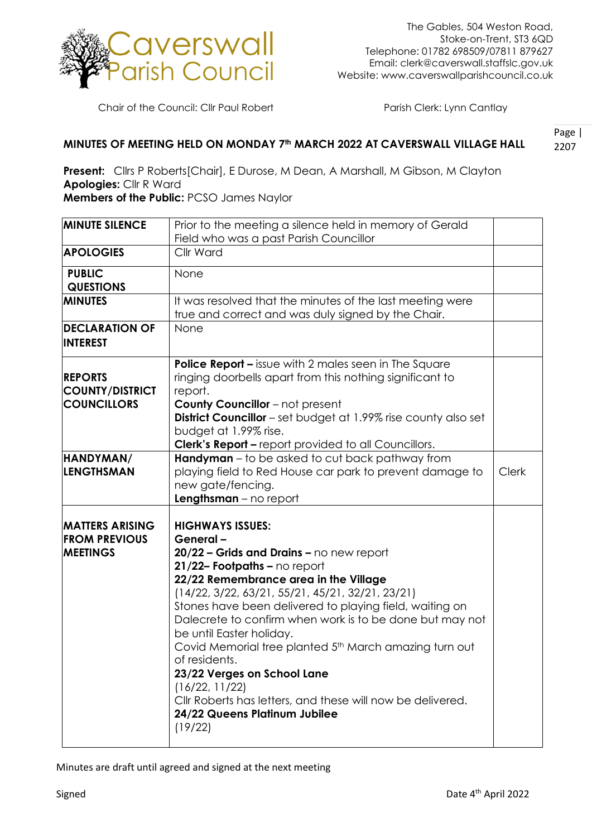

Chair of the Council: Cllr Paul Robert Parish Clerk: Lynn Cantlay

## 2207 **MINUTES OF MEETING HELD ON MONDAY 7th MARCH 2022 AT CAVERSWALL VILLAGE HALL**

Page |

**Present:** Cllrs P Roberts[Chair], E Durose, M Dean, A Marshall, M Gibson, M Clayton **Apologies:** Cllr R Ward

**Members of the Public:** PCSO James Naylor

| <b>MINUTE SILENCE</b>                                             | Prior to the meeting a silence held in memory of Gerald                                                                                                                                                                                                                                                                                                                                                                                                                                                                                                                                                 |              |
|-------------------------------------------------------------------|---------------------------------------------------------------------------------------------------------------------------------------------------------------------------------------------------------------------------------------------------------------------------------------------------------------------------------------------------------------------------------------------------------------------------------------------------------------------------------------------------------------------------------------------------------------------------------------------------------|--------------|
|                                                                   | Field who was a past Parish Councillor                                                                                                                                                                                                                                                                                                                                                                                                                                                                                                                                                                  |              |
| <b>APOLOGIES</b>                                                  | Cllr Ward                                                                                                                                                                                                                                                                                                                                                                                                                                                                                                                                                                                               |              |
| <b>PUBLIC</b><br><b>QUESTIONS</b>                                 | None                                                                                                                                                                                                                                                                                                                                                                                                                                                                                                                                                                                                    |              |
| <b>MINUTES</b>                                                    | It was resolved that the minutes of the last meeting were<br>true and correct and was duly signed by the Chair.                                                                                                                                                                                                                                                                                                                                                                                                                                                                                         |              |
| <b>DECLARATION OF</b><br><b>INTEREST</b>                          | None                                                                                                                                                                                                                                                                                                                                                                                                                                                                                                                                                                                                    |              |
| <b>REPORTS</b><br><b>COUNTY/DISTRICT</b><br><b>COUNCILLORS</b>    | <b>Police Report - issue with 2 males seen in The Square</b><br>ringing doorbells apart from this nothing significant to<br>report.<br><b>County Councillor</b> - not present<br><b>District Councillor</b> – set budget at 1.99% rise county also set<br>budget at 1.99% rise.<br><b>Clerk's Report - report provided to all Councillors.</b>                                                                                                                                                                                                                                                          |              |
| HANDYMAN/<br>LENGTHSMAN                                           | <b>Handyman</b> – to be asked to cut back pathway from<br>playing field to Red House car park to prevent damage to<br>new gate/fencing.<br>$Lengthsman - no report$                                                                                                                                                                                                                                                                                                                                                                                                                                     | <b>Clerk</b> |
| <b>MATTERS ARISING</b><br><b>FROM PREVIOUS</b><br><b>MEETINGS</b> | <b>HIGHWAYS ISSUES:</b><br>General-<br>20/22 - Grids and Drains - no new report<br>21/22- Footpaths - no report<br>22/22 Remembrance area in the Village<br>$(14/22, 3/22, 63/21, 55/21, 45/21, 32/21, 23/21)$<br>Stones have been delivered to playing field, waiting on<br>Dalecrete to confirm when work is to be done but may not<br>be until Easter holiday.<br>Covid Memorial tree planted 5th March amazing turn out<br>of residents.<br>23/22 Verges on School Lane<br>(16/22, 11/22)<br>Cllr Roberts has letters, and these will now be delivered.<br>24/22 Queens Platinum Jubilee<br>(19/22) |              |

Minutes are draft until agreed and signed at the next meeting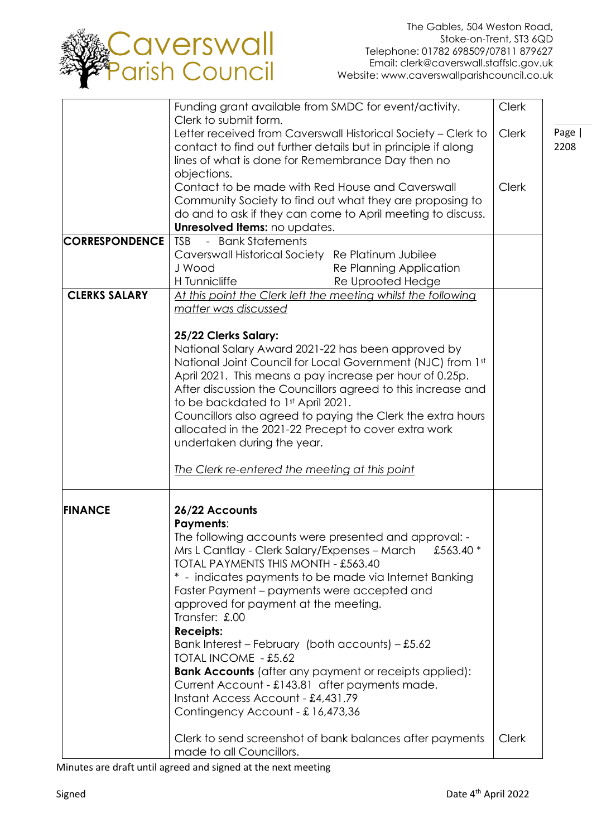

|                       | Funding grant available from SMDC for event/activity.                                                              | <b>Clerk</b> |      |
|-----------------------|--------------------------------------------------------------------------------------------------------------------|--------------|------|
|                       | Clerk to submit form.                                                                                              |              |      |
|                       | Letter received from Caverswall Historical Society - Clerk to                                                      | <b>Clerk</b> | Page |
|                       | contact to find out further details but in principle if along<br>lines of what is done for Remembrance Day then no |              | 2208 |
|                       | objections.                                                                                                        |              |      |
|                       | Contact to be made with Red House and Caverswall                                                                   | <b>Clerk</b> |      |
|                       | Community Society to find out what they are proposing to                                                           |              |      |
|                       | do and to ask if they can come to April meeting to discuss.                                                        |              |      |
|                       | Unresolved Items: no updates.                                                                                      |              |      |
| <b>CORRESPONDENCE</b> | <b>Bank Statements</b><br><b>TSB</b><br>$\equiv$                                                                   |              |      |
|                       | Caverswall Historical Society Re Platinum Jubilee                                                                  |              |      |
|                       | J Wood<br>Re Planning Application                                                                                  |              |      |
|                       | H Tunnicliffe<br>Re Uprooted Hedge                                                                                 |              |      |
| <b>CLERKS SALARY</b>  | At this point the Clerk left the meeting whilst the following                                                      |              |      |
|                       | matter was discussed                                                                                               |              |      |
|                       |                                                                                                                    |              |      |
|                       | 25/22 Clerks Salary:                                                                                               |              |      |
|                       | National Salary Award 2021-22 has been approved by                                                                 |              |      |
|                       | National Joint Council for Local Government (NJC) from 1st                                                         |              |      |
|                       | April 2021. This means a pay increase per hour of 0.25p.                                                           |              |      |
|                       | After discussion the Councillors agreed to this increase and                                                       |              |      |
|                       | to be backdated to 1st April 2021.                                                                                 |              |      |
|                       | Councillors also agreed to paying the Clerk the extra hours                                                        |              |      |
|                       | allocated in the 2021-22 Precept to cover extra work                                                               |              |      |
|                       | undertaken during the year.                                                                                        |              |      |
|                       | The Clerk re-entered the meeting at this point                                                                     |              |      |
|                       |                                                                                                                    |              |      |
| <b>FINANCE</b>        | 26/22 Accounts                                                                                                     |              |      |
|                       | <b>Payments:</b>                                                                                                   |              |      |
|                       | The following accounts were presented and approval: -                                                              |              |      |
|                       | Mrs L Cantlay - Clerk Salary/Expenses - March<br>£563.40 *                                                         |              |      |
|                       | TOTAL PAYMENTS THIS MONTH - £563.40                                                                                |              |      |
|                       | * - indicates payments to be made via Internet Banking                                                             |              |      |
|                       | Faster Payment – payments were accepted and                                                                        |              |      |
|                       | approved for payment at the meeting.                                                                               |              |      |
|                       | Transfer: £.00                                                                                                     |              |      |
|                       | <b>Receipts:</b>                                                                                                   |              |      |
|                       | Bank Interest – February (both accounts) – £5.62                                                                   |              |      |
|                       | TOTAL INCOME - £5.62                                                                                               |              |      |
|                       | <b>Bank Accounts</b> (after any payment or receipts applied):                                                      |              |      |
|                       | Current Account - £143.81 after payments made.                                                                     |              |      |
|                       | Instant Access Account - £4,431.79                                                                                 |              |      |
|                       | Contingency Account - £16,473,36                                                                                   |              |      |
|                       |                                                                                                                    |              |      |
|                       | Clerk to send screenshot of bank balances after payments                                                           | <b>Clerk</b> |      |
|                       | made to all Councillors.                                                                                           |              |      |

Minutes are draft until agreed and signed at the next meeting